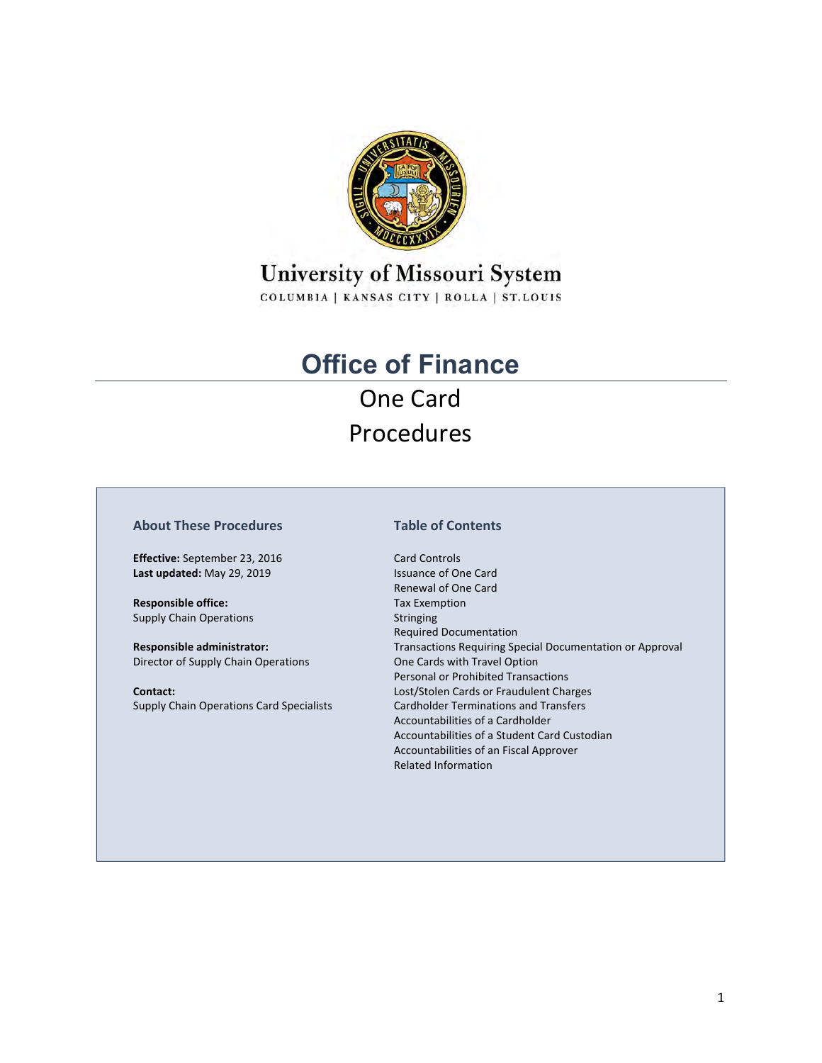

## **University of Missouri System**

COLUMBIA | KANSAS CITY | ROLLA | ST.LOUIS

# **Office of Finance**  One Card Procedures

#### **About These Procedures**

**Effective:** September 23, 2016 **Last updated:** May 29, 2019

**Responsible office:**  Supply Chain Operations

**Responsible administrator:**  Director of Supply Chain Operations

**Contact:**  Supply Chain Operations Card Specialists

#### **Table of Contents**

Card Controls Issuance of One Card Renewal of One Card Tax Exemption Stringing Required Documentation Transactions Requiring Special Documentation or Approval One Cards with Travel Option Personal or Prohibited Transactions Lost/Stolen Cards or Fraudulent Charges Cardholder Terminations and Transfers Accountabilities of a Cardholder Accountabilities of a Student Card Custodian Accountabilities of an Fiscal Approver Related Information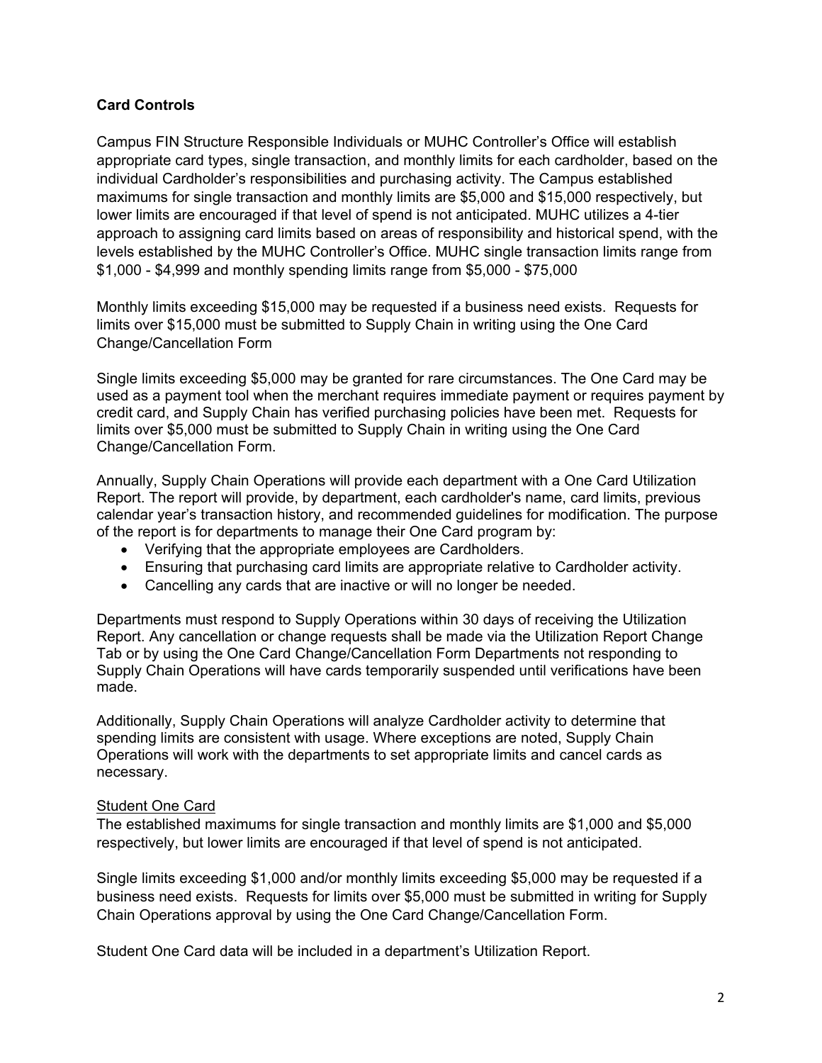## **Card Controls**

Campus FIN Structure Responsible Individuals or MUHC Controller's Office will establish appropriate card types, single transaction, and monthly limits for each cardholder, based on the individual Cardholder's responsibilities and purchasing activity. The Campus established maximums for single transaction and monthly limits are \$5,000 and \$15,000 respectively, but lower limits are encouraged if that level of spend is not anticipated. MUHC utilizes a 4-tier approach to assigning card limits based on areas of responsibility and historical spend, with the levels established by the MUHC Controller's Office. MUHC single transaction limits range from \$1,000 - \$4,999 and monthly spending limits range from \$5,000 - \$75,000

Monthly limits exceeding \$15,000 may be requested if a business need exists. Requests for limits over \$15,000 must be submitted to Supply Chain in writing using the One Card Change/Cancellation Form

Single limits exceeding \$5,000 may be granted for rare circumstances. The One Card may be used as a payment tool when the merchant requires immediate payment or requires payment by credit card, and Supply Chain has verified purchasing policies have been met. Requests for limits over \$5,000 must be submitted to Supply Chain in writing using the One Card Change/Cancellation Form.

Annually, Supply Chain Operations will provide each department with a One Card Utilization Report. The report will provide, by department, each cardholder's name, card limits, previous calendar year's transaction history, and recommended guidelines for modification. The purpose of the report is for departments to manage their One Card program by:

- Verifying that the appropriate employees are Cardholders.
- Ensuring that purchasing card limits are appropriate relative to Cardholder activity.
- Cancelling any cards that are inactive or will no longer be needed.

Departments must respond to Supply Operations within 30 days of receiving the Utilization Report. Any cancellation or change requests shall be made via the Utilization Report Change Tab or by using the One Card Change/Cancellation Form Departments not responding to Supply Chain Operations will have cards temporarily suspended until verifications have been made.

Additionally, Supply Chain Operations will analyze Cardholder activity to determine that spending limits are consistent with usage. Where exceptions are noted, Supply Chain Operations will work with the departments to set appropriate limits and cancel cards as necessary.

#### Student One Card

The established maximums for single transaction and monthly limits are \$1,000 and \$5,000 respectively, but lower limits are encouraged if that level of spend is not anticipated.

Single limits exceeding \$1,000 and/or monthly limits exceeding \$5,000 may be requested if a business need exists. Requests for limits over \$5,000 must be submitted in writing for Supply Chain Operations approval by using the One Card Change/Cancellation Form.

Student One Card data will be included in a department's Utilization Report.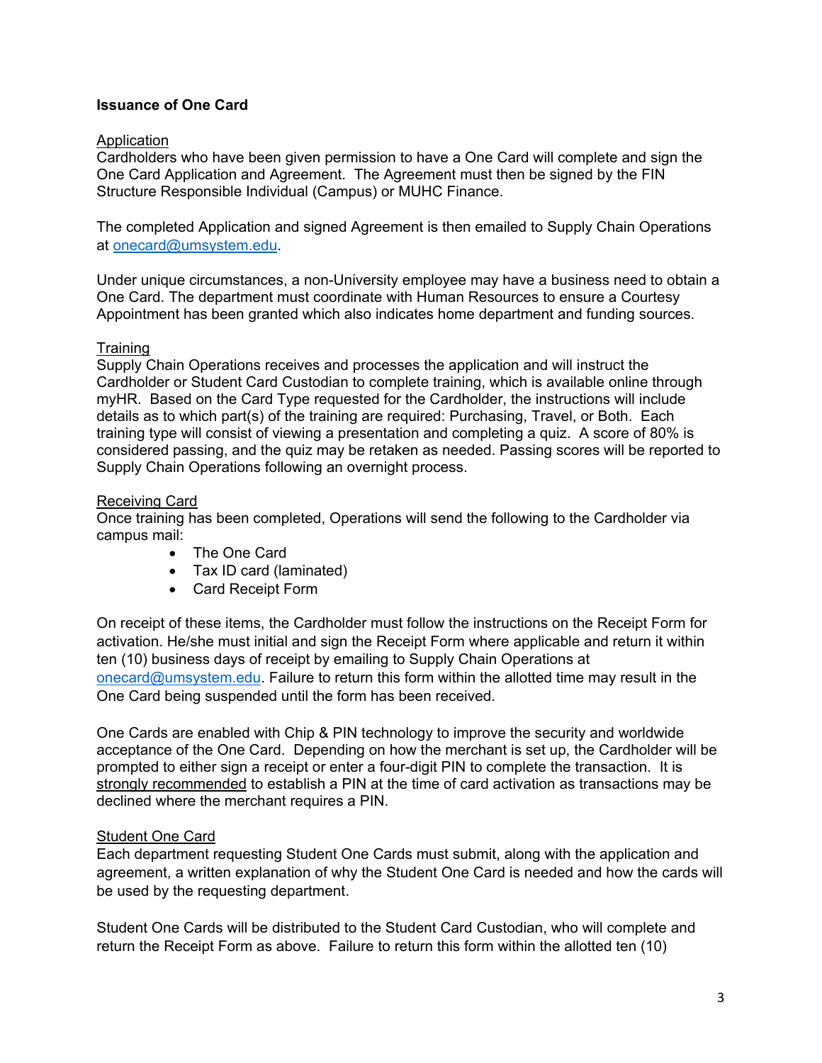## **Issuance of One Card**

#### **Application**

Cardholders who have been given permission to have a One Card will complete and sign the One Card Application and Agreement. The Agreement must then be signed by the FIN Structure Responsible Individual (Campus) or MUHC Finance.

The completed Application and signed Agreement is then emailed to Supply Chain Operations at onecard@umsystem.edu.

Under unique circumstances, a non-University employee may have a business need to obtain a One Card. The department must coordinate with Human Resources to ensure a Courtesy Appointment has been granted which also indicates home department and funding sources.

#### **Training**

Supply Chain Operations receives and processes the application and will instruct the Cardholder or Student Card Custodian to complete training, which is available online through myHR. Based on the Card Type requested for the Cardholder, the instructions will include details as to which part(s) of the training are required: Purchasing, Travel, or Both. Each training type will consist of viewing a presentation and completing a quiz. A score of 80% is considered passing, and the quiz may be retaken as needed. Passing scores will be reported to Supply Chain Operations following an overnight process.

#### Receiving Card

Once training has been completed, Operations will send the following to the Cardholder via campus mail:

- The One Card
- Tax ID card (laminated)
- Card Receipt Form

On receipt of these items, the Cardholder must follow the instructions on the Receipt Form for activation. He/she must initial and sign the Receipt Form where applicable and return it within ten (10) business days of receipt by emailing to Supply Chain Operations at onecard@umsystem.edu. Failure to return this form within the allotted time may result in the One Card being suspended until the form has been received.

One Cards are enabled with Chip & PIN technology to improve the security and worldwide acceptance of the One Card. Depending on how the merchant is set up, the Cardholder will be prompted to either sign a receipt or enter a four-digit PIN to complete the transaction. It is strongly recommended to establish a PIN at the time of card activation as transactions may be declined where the merchant requires a PIN.

#### **Student One Card**

Each department requesting Student One Cards must submit, along with the application and agreement, a written explanation of why the Student One Card is needed and how the cards will be used by the requesting department.

Student One Cards will be distributed to the Student Card Custodian, who will complete and return the Receipt Form as above. Failure to return this form within the allotted ten (10)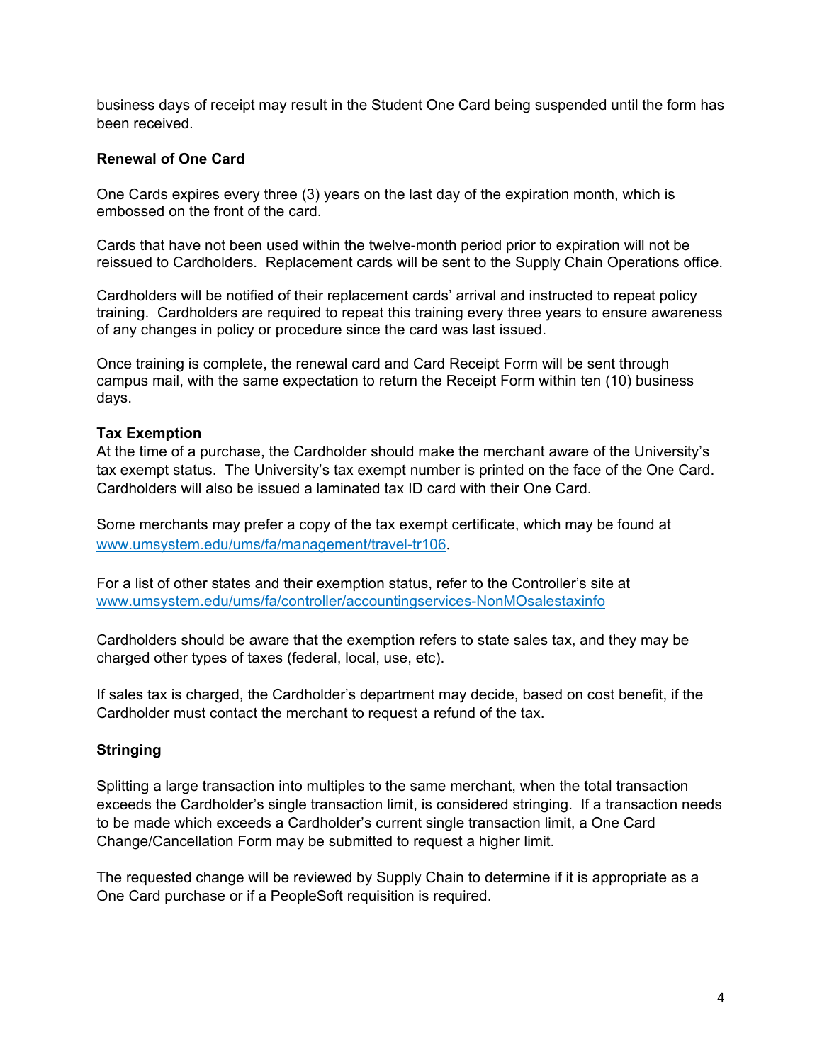business days of receipt may result in the Student One Card being suspended until the form has been received.

## **Renewal of One Card**

One Cards expires every three (3) years on the last day of the expiration month, which is embossed on the front of the card.

Cards that have not been used within the twelve-month period prior to expiration will not be reissued to Cardholders. Replacement cards will be sent to the Supply Chain Operations office.

Cardholders will be notified of their replacement cards' arrival and instructed to repeat policy training. Cardholders are required to repeat this training every three years to ensure awareness of any changes in policy or procedure since the card was last issued.

Once training is complete, the renewal card and Card Receipt Form will be sent through campus mail, with the same expectation to return the Receipt Form within ten (10) business days.

## **Tax Exemption**

At the time of a purchase, the Cardholder should make the merchant aware of the University's tax exempt status. The University's tax exempt number is printed on the face of the One Card. Cardholders will also be issued a laminated tax ID card with their One Card.

Some merchants may prefer a copy of the tax exempt certificate, which may be found at www.umsystem.edu/ums/fa/management/travel-tr106.

For a list of other states and their exemption status, refer to the Controller's site at www.umsystem.edu/ums/fa/controller/accountingservices-NonMOsalestaxinfo

Cardholders should be aware that the exemption refers to state sales tax, and they may be charged other types of taxes (federal, local, use, etc).

If sales tax is charged, the Cardholder's department may decide, based on cost benefit, if the Cardholder must contact the merchant to request a refund of the tax.

## **Stringing**

Splitting a large transaction into multiples to the same merchant, when the total transaction exceeds the Cardholder's single transaction limit, is considered stringing. If a transaction needs to be made which exceeds a Cardholder's current single transaction limit, a One Card Change/Cancellation Form may be submitted to request a higher limit.

The requested change will be reviewed by Supply Chain to determine if it is appropriate as a One Card purchase or if a PeopleSoft requisition is required.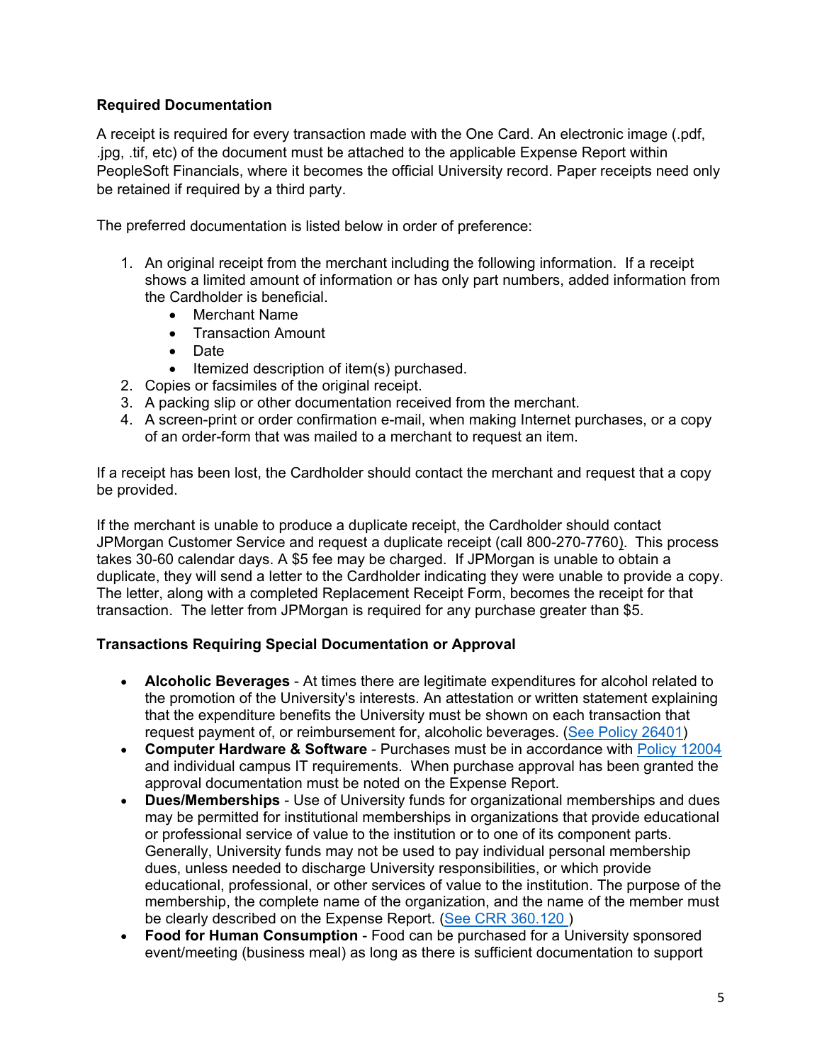## **Required Documentation**

A receipt is required for every transaction made with the One Card. An electronic image (.pdf, .jpg, .tif, etc) of the document must be attached to the applicable Expense Report within PeopleSoft Financials, where it becomes the official University record. Paper receipts need only be retained if required by a third party.

The preferred documentation is listed below in order of preference:

- 1. An original receipt from the merchant including the following information. If a receipt shows a limited amount of information or has only part numbers, added information from the Cardholder is beneficial.
	- Merchant Name
	- Transaction Amount
	- Date
	- Itemized description of item(s) purchased.
- 2. Copies or facsimiles of the original receipt.
- 3. A packing slip or other documentation received from the merchant.
- 4. A screen-print or order confirmation e-mail, when making Internet purchases, or a copy of an order-form that was mailed to a merchant to request an item.

If a receipt has been lost, the Cardholder should contact the merchant and request that a copy be provided.

If the merchant is unable to produce a duplicate receipt, the Cardholder should contact JPMorgan Customer Service and request a duplicate receipt (call 800-270-7760). This process takes 30-60 calendar days. A \$5 fee may be charged. If JPMorgan is unable to obtain a duplicate, they will send a letter to the Cardholder indicating they were unable to provide a copy. The letter, along with a completed Replacement Receipt Form, becomes the receipt for that transaction. The letter from JPMorgan is required for any purchase greater than \$5.

## **Transactions Requiring Special Documentation or Approval**

- **Alcoholic Beverages** At times there are legitimate expenditures for alcohol related to the promotion of the University's interests. An attestation or written statement explaining that the expenditure benefits the University must be shown on each transaction that request payment of, or reimbursement for, alcoholic beverages. (See Policy 26401)
- **Computer Hardware & Software** Purchases must be in accordance with Policy 12004 and individual campus IT requirements. When purchase approval has been granted the approval documentation must be noted on the Expense Report.
- **Dues/Memberships** Use of University funds for organizational memberships and dues may be permitted for institutional memberships in organizations that provide educational or professional service of value to the institution or to one of its component parts. Generally, University funds may not be used to pay individual personal membership dues, unless needed to discharge University responsibilities, or which provide educational, professional, or other services of value to the institution. The purpose of the membership, the complete name of the organization, and the name of the member must be clearly described on the Expense Report. (See CRR 360.120 )
- **Food for Human Consumption** Food can be purchased for a University sponsored event/meeting (business meal) as long as there is sufficient documentation to support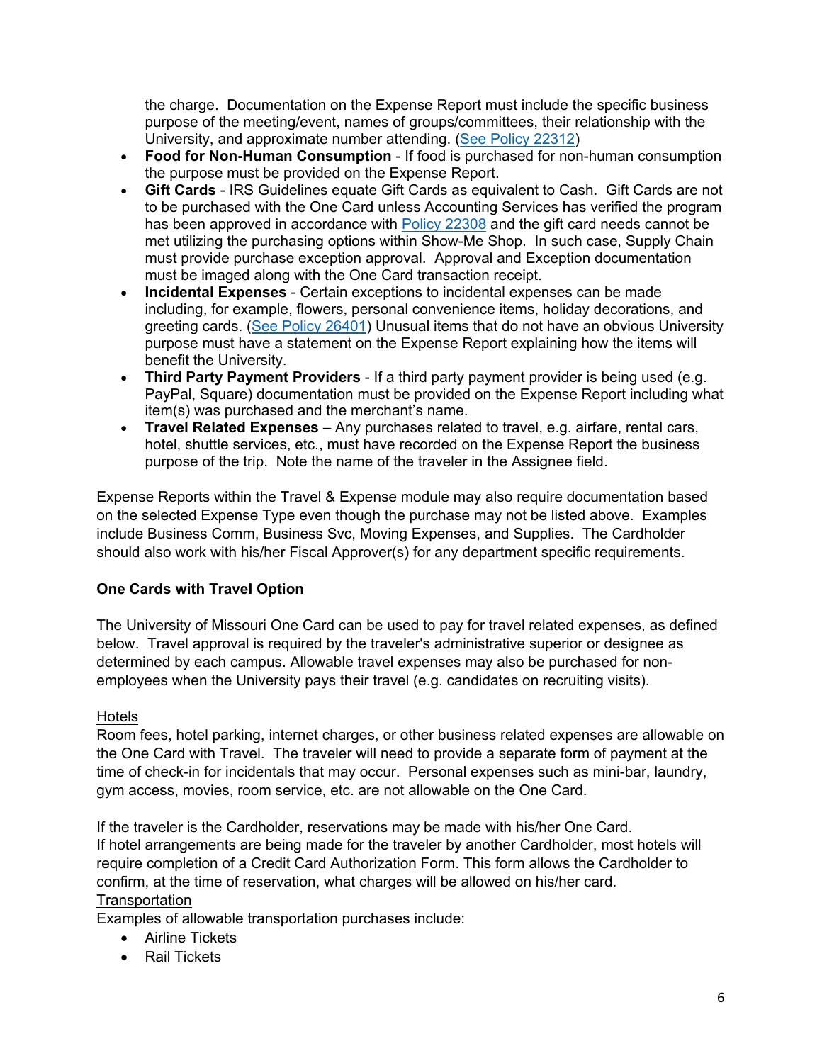the charge. Documentation on the Expense Report must include the specific business purpose of the meeting/event, names of groups/committees, their relationship with the University, and approximate number attending. (See Policy 22312)

- **Food for Non-Human Consumption**  If food is purchased for non-human consumption the purpose must be provided on the Expense Report.
- **Gift Cards** IRS Guidelines equate Gift Cards as equivalent to Cash. Gift Cards are not to be purchased with the One Card unless Accounting Services has verified the program has been approved in accordance with Policy 22308 and the gift card needs cannot be met utilizing the purchasing options within Show-Me Shop. In such case, Supply Chain must provide purchase exception approval. Approval and Exception documentation must be imaged along with the One Card transaction receipt.
- **Incidental Expenses** Certain exceptions to incidental expenses can be made including, for example, flowers, personal convenience items, holiday decorations, and greeting cards. (See Policy 26401) Unusual items that do not have an obvious University purpose must have a statement on the Expense Report explaining how the items will benefit the University.
- **Third Party Payment Providers** If a third party payment provider is being used (e.g. PayPal, Square) documentation must be provided on the Expense Report including what item(s) was purchased and the merchant's name.
- **Travel Related Expenses** Any purchases related to travel, e.g. airfare, rental cars, hotel, shuttle services, etc., must have recorded on the Expense Report the business purpose of the trip. Note the name of the traveler in the Assignee field.

Expense Reports within the Travel & Expense module may also require documentation based on the selected Expense Type even though the purchase may not be listed above. Examples include Business Comm, Business Svc, Moving Expenses, and Supplies. The Cardholder should also work with his/her Fiscal Approver(s) for any department specific requirements.

## **One Cards with Travel Option**

The University of Missouri One Card can be used to pay for travel related expenses, as defined below. Travel approval is required by the traveler's administrative superior or designee as determined by each campus. Allowable travel expenses may also be purchased for nonemployees when the University pays their travel (e.g. candidates on recruiting visits).

## Hotels

Room fees, hotel parking, internet charges, or other business related expenses are allowable on the One Card with Travel. The traveler will need to provide a separate form of payment at the time of check-in for incidentals that may occur. Personal expenses such as mini-bar, laundry, gym access, movies, room service, etc. are not allowable on the One Card.

If the traveler is the Cardholder, reservations may be made with his/her One Card. If hotel arrangements are being made for the traveler by another Cardholder, most hotels will require completion of a Credit Card Authorization Form. This form allows the Cardholder to confirm, at the time of reservation, what charges will be allowed on his/her card. **Transportation** 

Examples of allowable transportation purchases include:

- Airline Tickets
- Rail Tickets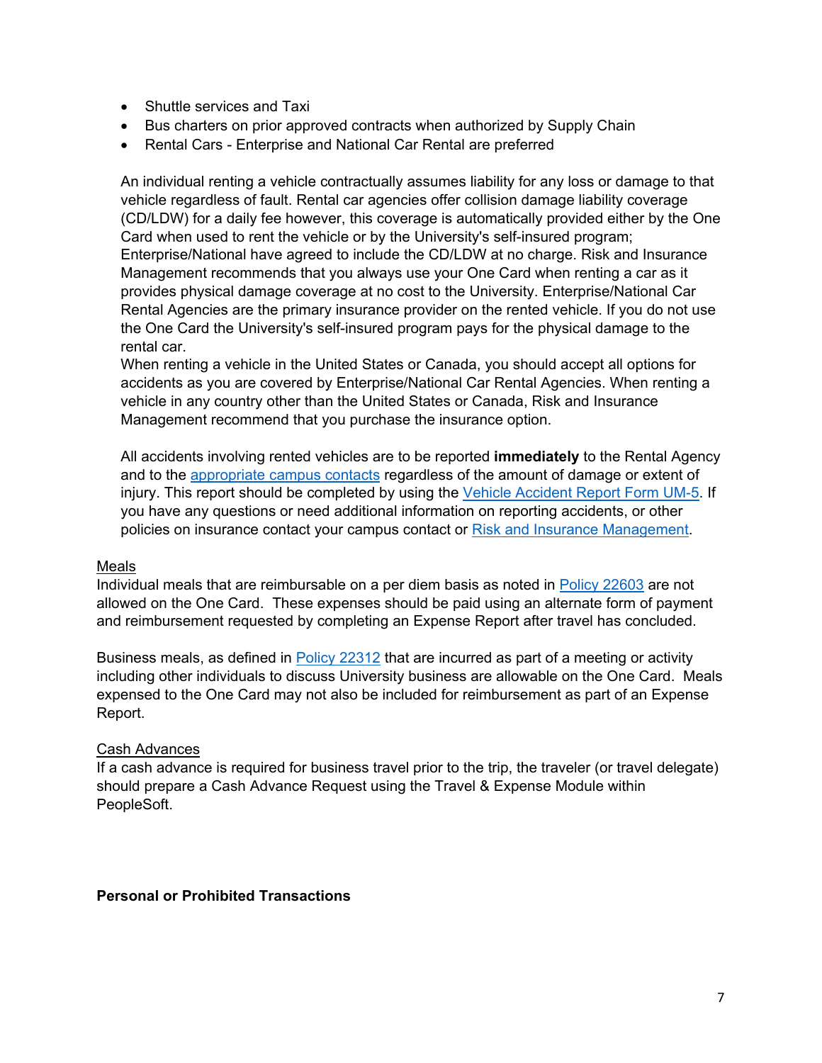- Shuttle services and Taxi
- Bus charters on prior approved contracts when authorized by Supply Chain
- Rental Cars Enterprise and National Car Rental are preferred

An individual renting a vehicle contractually assumes liability for any loss or damage to that vehicle regardless of fault. Rental car agencies offer collision damage liability coverage (CD/LDW) for a daily fee however, this coverage is automatically provided either by the One Card when used to rent the vehicle or by the University's self-insured program; Enterprise/National have agreed to include the CD/LDW at no charge. Risk and Insurance Management recommends that you always use your One Card when renting a car as it provides physical damage coverage at no cost to the University. Enterprise/National Car Rental Agencies are the primary insurance provider on the rented vehicle. If you do not use the One Card the University's self-insured program pays for the physical damage to the rental car.

When renting a vehicle in the United States or Canada, you should accept all options for accidents as you are covered by Enterprise/National Car Rental Agencies. When renting a vehicle in any country other than the United States or Canada, Risk and Insurance Management recommend that you purchase the insurance option.

All accidents involving rented vehicles are to be reported **immediately** to the Rental Agency and to the appropriate campus contacts regardless of the amount of damage or extent of injury. This report should be completed by using the Vehicle Accident Report Form UM-5. If you have any questions or need additional information on reporting accidents, or other policies on insurance contact your campus contact or Risk and Insurance Management.

#### Meals

Individual meals that are reimbursable on a per diem basis as noted in Policy 22603 are not allowed on the One Card. These expenses should be paid using an alternate form of payment and reimbursement requested by completing an Expense Report after travel has concluded.

Business meals, as defined in Policy 22312 that are incurred as part of a meeting or activity including other individuals to discuss University business are allowable on the One Card. Meals expensed to the One Card may not also be included for reimbursement as part of an Expense Report.

## Cash Advances

If a cash advance is required for business travel prior to the trip, the traveler (or travel delegate) should prepare a Cash Advance Request using the Travel & Expense Module within PeopleSoft.

## **Personal or Prohibited Transactions**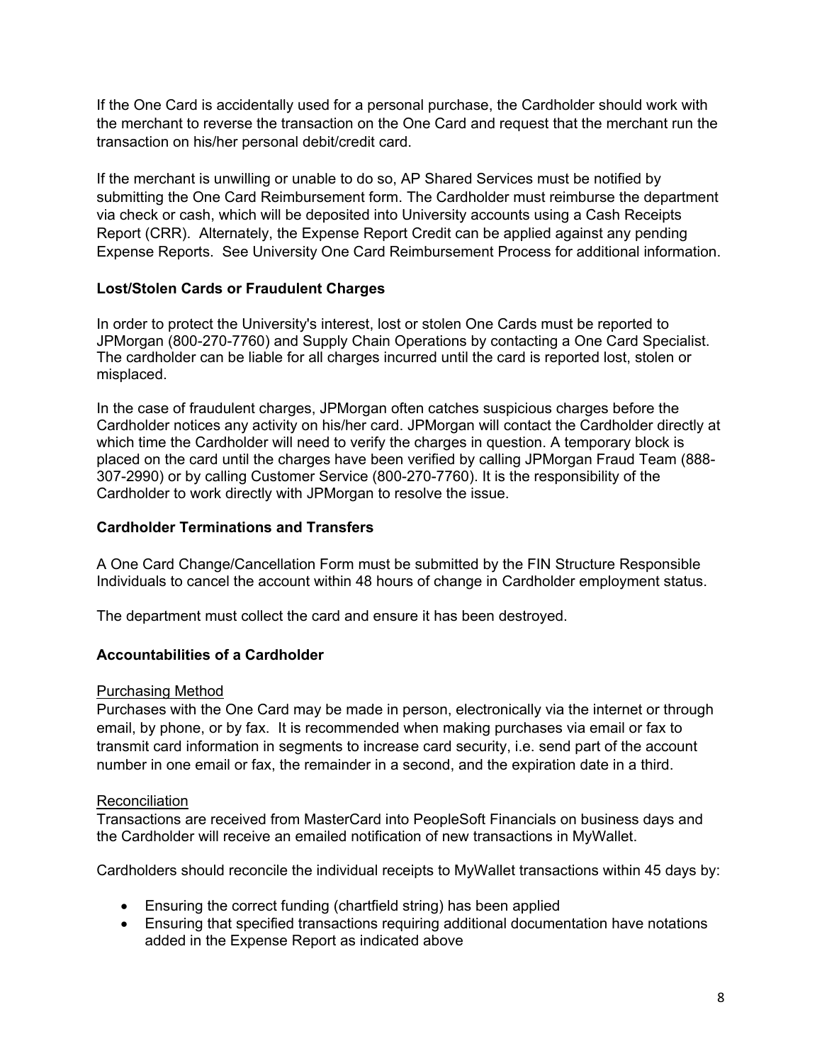If the One Card is accidentally used for a personal purchase, the Cardholder should work with the merchant to reverse the transaction on the One Card and request that the merchant run the transaction on his/her personal debit/credit card.

If the merchant is unwilling or unable to do so, AP Shared Services must be notified by submitting the One Card Reimbursement form. The Cardholder must reimburse the department via check or cash, which will be deposited into University accounts using a Cash Receipts Report (CRR). Alternately, the Expense Report Credit can be applied against any pending Expense Reports. See University One Card Reimbursement Process for additional information.

## **Lost/Stolen Cards or Fraudulent Charges**

In order to protect the University's interest, lost or stolen One Cards must be reported to JPMorgan (800-270-7760) and Supply Chain Operations by contacting a One Card Specialist. The cardholder can be liable for all charges incurred until the card is reported lost, stolen or misplaced.

In the case of fraudulent charges, JPMorgan often catches suspicious charges before the Cardholder notices any activity on his/her card. JPMorgan will contact the Cardholder directly at which time the Cardholder will need to verify the charges in question. A temporary block is placed on the card until the charges have been verified by calling JPMorgan Fraud Team (888- 307-2990) or by calling Customer Service (800-270-7760). It is the responsibility of the Cardholder to work directly with JPMorgan to resolve the issue.

## **Cardholder Terminations and Transfers**

A One Card Change/Cancellation Form must be submitted by the FIN Structure Responsible Individuals to cancel the account within 48 hours of change in Cardholder employment status.

The department must collect the card and ensure it has been destroyed.

## **Accountabilities of a Cardholder**

## Purchasing Method

Purchases with the One Card may be made in person, electronically via the internet or through email, by phone, or by fax. It is recommended when making purchases via email or fax to transmit card information in segments to increase card security, i.e. send part of the account number in one email or fax, the remainder in a second, and the expiration date in a third.

## **Reconciliation**

Transactions are received from MasterCard into PeopleSoft Financials on business days and the Cardholder will receive an emailed notification of new transactions in MyWallet.

Cardholders should reconcile the individual receipts to MyWallet transactions within 45 days by:

- Ensuring the correct funding (chartfield string) has been applied
- Ensuring that specified transactions requiring additional documentation have notations added in the Expense Report as indicated above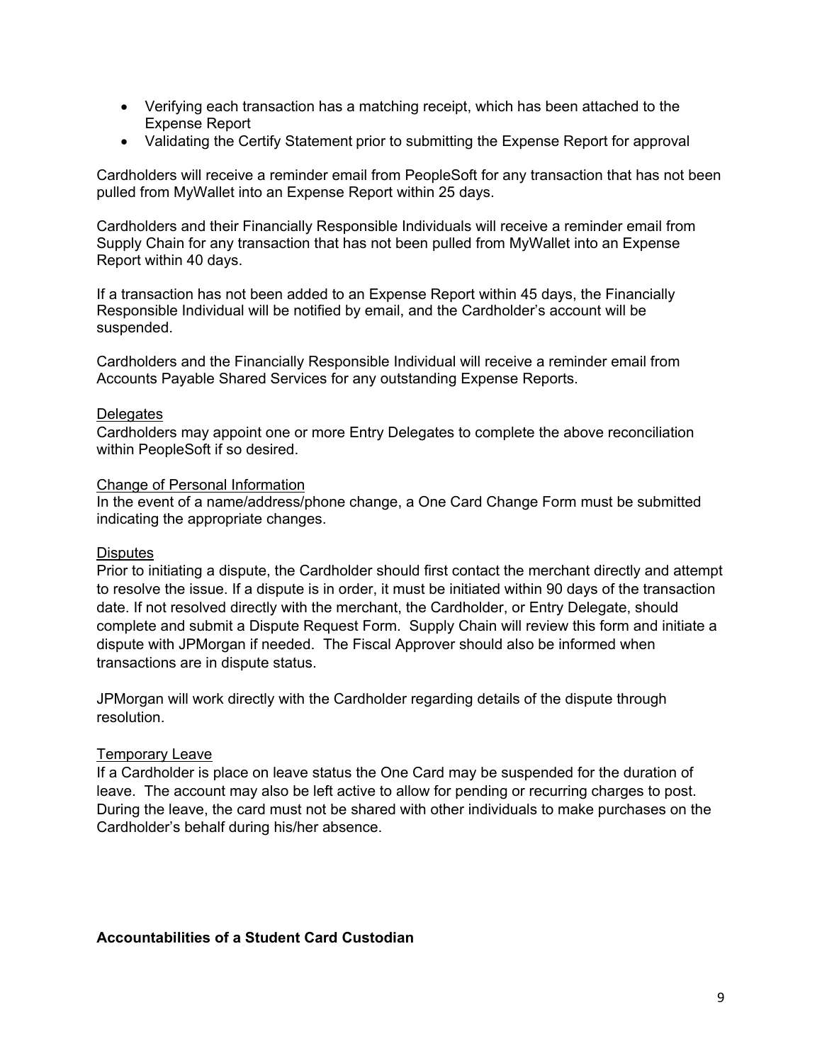- Verifying each transaction has a matching receipt, which has been attached to the Expense Report
- Validating the Certify Statement prior to submitting the Expense Report for approval

Cardholders will receive a reminder email from PeopleSoft for any transaction that has not been pulled from MyWallet into an Expense Report within 25 days.

Cardholders and their Financially Responsible Individuals will receive a reminder email from Supply Chain for any transaction that has not been pulled from MyWallet into an Expense Report within 40 days.

If a transaction has not been added to an Expense Report within 45 days, the Financially Responsible Individual will be notified by email, and the Cardholder's account will be suspended.

Cardholders and the Financially Responsible Individual will receive a reminder email from Accounts Payable Shared Services for any outstanding Expense Reports.

#### **Delegates**

Cardholders may appoint one or more Entry Delegates to complete the above reconciliation within PeopleSoft if so desired.

#### Change of Personal Information

In the event of a name/address/phone change, a One Card Change Form must be submitted indicating the appropriate changes.

#### **Disputes**

Prior to initiating a dispute, the Cardholder should first contact the merchant directly and attempt to resolve the issue. If a dispute is in order, it must be initiated within 90 days of the transaction date. If not resolved directly with the merchant, the Cardholder, or Entry Delegate, should complete and submit a Dispute Request Form. Supply Chain will review this form and initiate a dispute with JPMorgan if needed. The Fiscal Approver should also be informed when transactions are in dispute status.

JPMorgan will work directly with the Cardholder regarding details of the dispute through resolution.

#### Temporary Leave

If a Cardholder is place on leave status the One Card may be suspended for the duration of leave. The account may also be left active to allow for pending or recurring charges to post. During the leave, the card must not be shared with other individuals to make purchases on the Cardholder's behalf during his/her absence.

#### **Accountabilities of a Student Card Custodian**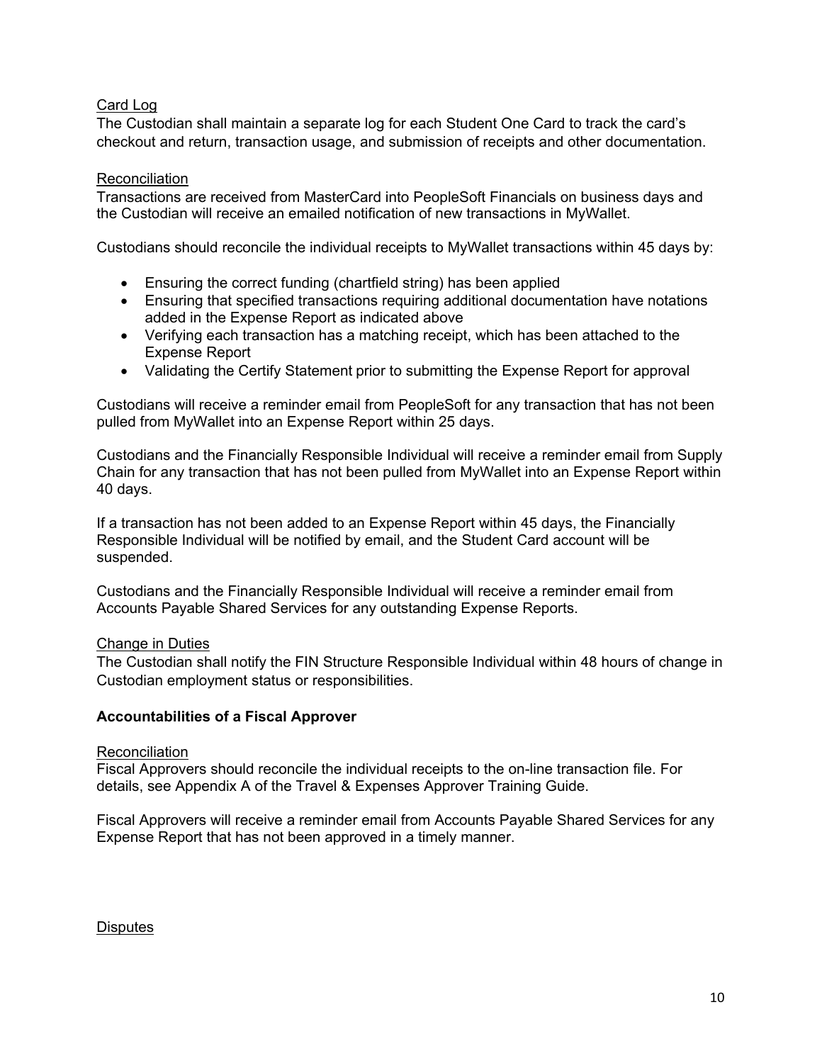## Card Log

The Custodian shall maintain a separate log for each Student One Card to track the card's checkout and return, transaction usage, and submission of receipts and other documentation.

### **Reconciliation**

Transactions are received from MasterCard into PeopleSoft Financials on business days and the Custodian will receive an emailed notification of new transactions in MyWallet.

Custodians should reconcile the individual receipts to MyWallet transactions within 45 days by:

- Ensuring the correct funding (chartfield string) has been applied
- Ensuring that specified transactions requiring additional documentation have notations added in the Expense Report as indicated above
- Verifying each transaction has a matching receipt, which has been attached to the Expense Report
- Validating the Certify Statement prior to submitting the Expense Report for approval

Custodians will receive a reminder email from PeopleSoft for any transaction that has not been pulled from MyWallet into an Expense Report within 25 days.

Custodians and the Financially Responsible Individual will receive a reminder email from Supply Chain for any transaction that has not been pulled from MyWallet into an Expense Report within 40 days.

If a transaction has not been added to an Expense Report within 45 days, the Financially Responsible Individual will be notified by email, and the Student Card account will be suspended.

Custodians and the Financially Responsible Individual will receive a reminder email from Accounts Payable Shared Services for any outstanding Expense Reports.

#### Change in Duties

The Custodian shall notify the FIN Structure Responsible Individual within 48 hours of change in Custodian employment status or responsibilities.

## **Accountabilities of a Fiscal Approver**

#### **Reconciliation**

Fiscal Approvers should reconcile the individual receipts to the on-line transaction file. For details, see Appendix A of the Travel & Expenses Approver Training Guide.

Fiscal Approvers will receive a reminder email from Accounts Payable Shared Services for any Expense Report that has not been approved in a timely manner.

**Disputes**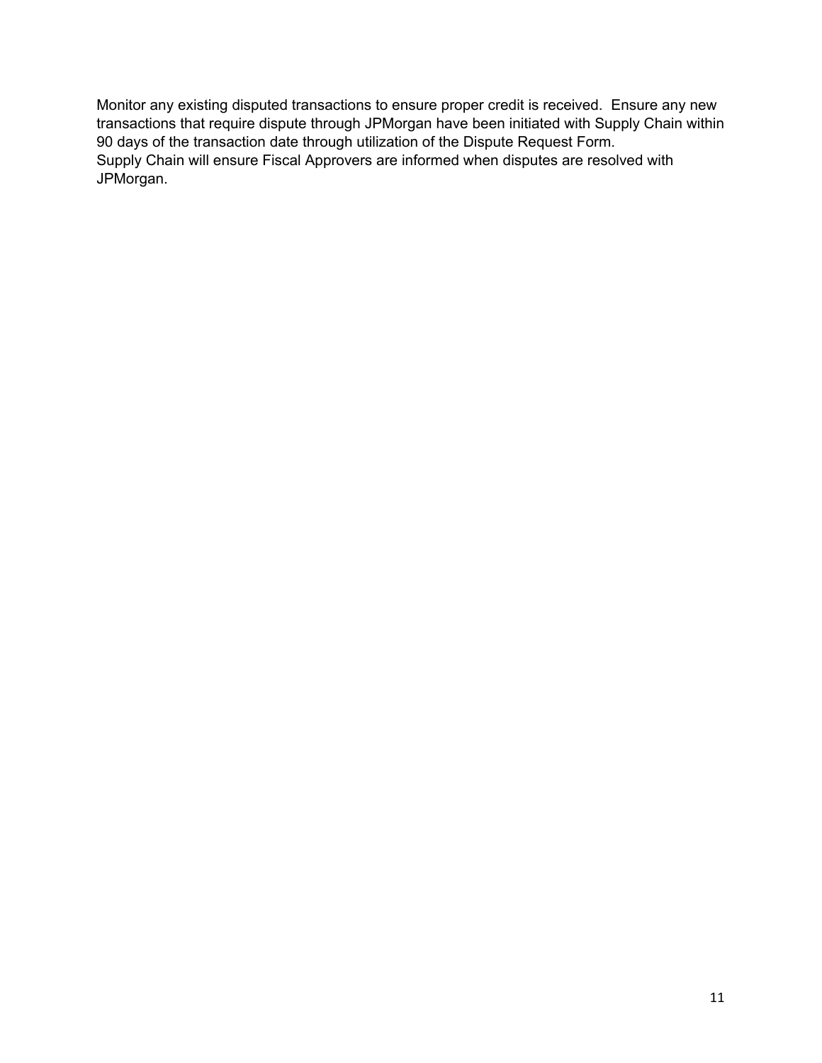Monitor any existing disputed transactions to ensure proper credit is received. Ensure any new transactions that require dispute through JPMorgan have been initiated with Supply Chain within 90 days of the transaction date through utilization of the Dispute Request Form. Supply Chain will ensure Fiscal Approvers are informed when disputes are resolved with JPMorgan.